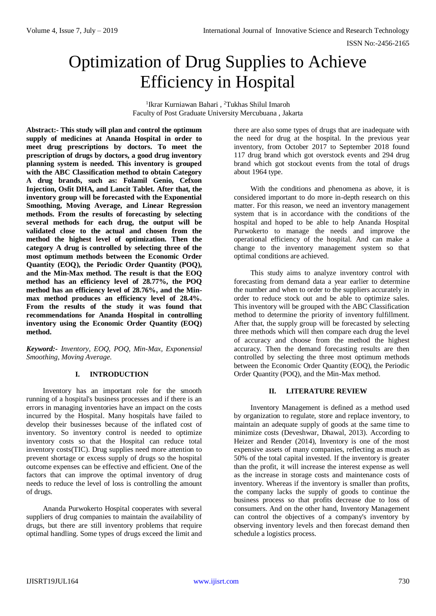ISSN No:-2456-2165

# Optimization of Drug Supplies to Achieve Efficiency in Hospital

<sup>1</sup> Ikrar Kurniawan Bahari, <sup>2</sup>Tukhas Shilul Imaroh Faculty of Post Graduate University Mercubuana , Jakarta

**Abstract:- This study will plan and control the optimum supply of medicines at Ananda Hospital in order to meet drug prescriptions by doctors. To meet the prescription of drugs by doctors, a good drug inventory planning system is needed. This inventory is grouped with the ABC Classification method to obtain Category A drug brands, such as: Folamil Genio, Cefxon Injection, Osfit DHA, and Lancit Tablet. After that, the inventory group will be forecasted with the Exponential Smoothing, Moving Average, and Linear Regression methods. From the results of forecasting by selecting several methods for each drug, the output will be validated close to the actual and chosen from the method the highest level of optimization. Then the category A drug is controlled by selecting three of the most optimum methods between the Economic Order Quantity (EOQ), the Periodic Order Quantity (POQ), and the Min-Max method. The result is that the EOQ method has an efficiency level of 28.77%, the POQ method has an efficiency level of 28.76%, and the Minmax method produces an efficiency level of 28.4%. From the results of the study it was found that recommendations for Ananda Hospital in controlling inventory using the Economic Order Quantity (EOQ) method.**

*Keyword:- Inventory, EOQ, POQ, Min-Max, Exponensial Smoothing, Moving Average.*

# **I. INTRODUCTION**

Inventory has an important role for the smooth running of a hospital's business processes and if there is an errors in managing inventories have an impact on the costs incurred by the Hospital. Many hospitals have failed to develop their businesses because of the inflated cost of inventory. So inventory control is needed to optimize inventory costs so that the Hospital can reduce total inventory costs(TIC). Drug supplies need more attention to prevent shortage or excess supply of drugs so the hospital outcome expenses can be effective and efficient. One of the factors that can improve the optimal inventory of drug needs to reduce the level of loss is controlling the amount of drugs.

Ananda Purwokerto Hospital cooperates with several suppliers of drug companies to maintain the availability of drugs, but there are still inventory problems that require optimal handling. Some types of drugs exceed the limit and

there are also some types of drugs that are inadequate with the need for drug at the hospital. In the previous year inventory, from October 2017 to September 2018 found 117 drug brand which got overstock events and 294 drug brand which got stockout events from the total of drugs about 1964 type.

With the conditions and phenomena as above, it is considered important to do more in-depth research on this matter. For this reason, we need an inventory management system that is in accordance with the conditions of the hospital and hoped to be able to help Ananda Hospital Purwokerto to manage the needs and improve the operational efficiency of the hospital. And can make a change to the inventory management system so that optimal conditions are achieved.

This study aims to analyze inventory control with forecasting from demand data a year earlier to determine the number and when to order to the suppliers accurately in order to reduce stock out and be able to optimize sales. This inventory will be grouped with the ABC Classification method to determine the priority of inventory fulfillment. After that, the supply group will be forecasted by selecting three methods which will then compare each drug the level of accuracy and choose from the method the highest accuracy. Then the demand forecasting results are then controlled by selecting the three most optimum methods between the Economic Order Quantity (EOQ), the Periodic Order Quantity (POQ), and the Min-Max method.

## **II. LITERATURE REVIEW**

Inventory Management is defined as a method used by organization to regulate, store and replace inventory, to maintain an adequate supply of goods at the same time to minimize costs (Deveshwar, Dhawal, 2013). According to Heizer and Render (2014), Inventory is one of the most expensive assets of many companies, reflecting as much as 50% of the total capital invested. If the inventory is greater than the profit, it will increase the interest expense as well as the increase in storage costs and maintenance costs of inventory. Whereas if the inventory is smaller than profits, the company lacks the supply of goods to continue the business process so that profits decrease due to loss of consumers. And on the other hand, Inventory Management can control the objectives of a company's inventory by observing inventory levels and then forecast demand then schedule a logistics process.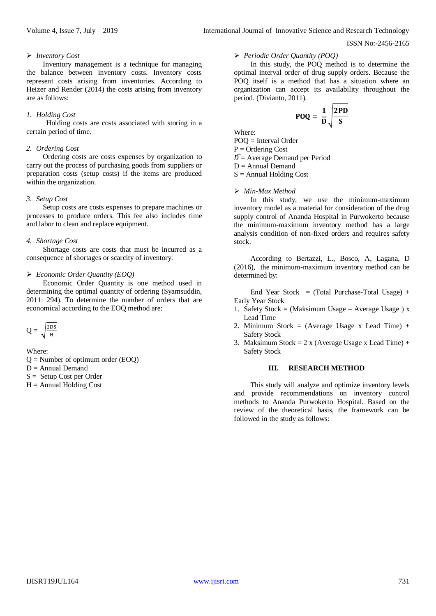ISSN No:-2456-2165

#### *Inventory Cost*

Inventory management is a technique for managing the balance between inventory costs. Inventory costs represent costs arising from inventories. According to Heizer and Render (2014) the costs arising from inventory are as follows:

## *1. Holding Cost*

Holding costs are costs associated with storing in a certain period of time.

## *2. Ordering Cost*

Ordering costs are costs expenses by organization to carry out the process of purchasing goods from suppliers or preparation costs (setup costs) if the items are produced within the organization.

#### *3. Setup Cost*

Setup costs are costs expenses to prepare machines or processes to produce orders. This fee also includes time and labor to clean and replace equipment.

#### *4. Shortage Cost*

Shortage costs are costs that must be incurred as a consequence of shortages or scarcity of inventory.

#### *Economic Order Quantity (EOQ)*

Economic Order Quantity is one method used in determining the optimal quantity of ordering (Syamsuddin, 2011: 294). To determine the number of orders that are economical according to the EOQ method are:

$$
Q = \sqrt{\frac{2DS}{H}}
$$

Where:  $Q =$  Number of optimum order (EOO)

- $D =$  Annual Demand
- S = Setup Cost per Order
- $H =$  Annual Holding Cost

# *Periodic Order Quantity (POQ)*

In this study, the POQ method is to determine the optimal interval order of drug supply orders. Because the POQ itself is a method that has a situation where an organization can accept its availability throughout the period. (Divianto, 2011).

$$
POQ = \frac{1}{\overline{D}}\sqrt{\frac{2PD}{S}}
$$

Where:

POQ = Interval Order  $P =$ Ordering Cost  $\overline{D}$  = Average Demand per Period  $D =$  Annual Demand  $S =$  Annual Holding Cost

#### *Min-Max Method*

In this study, we use the minimum-maximum inventory model as a material for consideration of the drug supply control of Ananda Hospital in Purwokerto because the minimum-maximum inventory method has a large analysis condition of non-fixed orders and requires safety stock.

According to Bertazzi, L., Bosco, A, Lagana, D (2016), the minimum-maximum inventory method can be determined by:

End Year Stock = (Total Purchase-Total Usage) + Early Year Stock

- 1. Safety Stock = (Maksimum Usage Average Usage ) x Lead Time
- 2. Minimum Stock = (Average Usage x Lead Time) + Safety Stock
- 3. Maksimum Stock =  $2 \times (Average Usage \times Lead Time) +$ Safety Stock

#### **III. RESEARCH METHOD**

This study will analyze and optimize inventory levels and provide recommendations on inventory control methods to Ananda Purwokerto Hospital. Based on the review of the theoretical basis, the framework can be followed in the study as follows: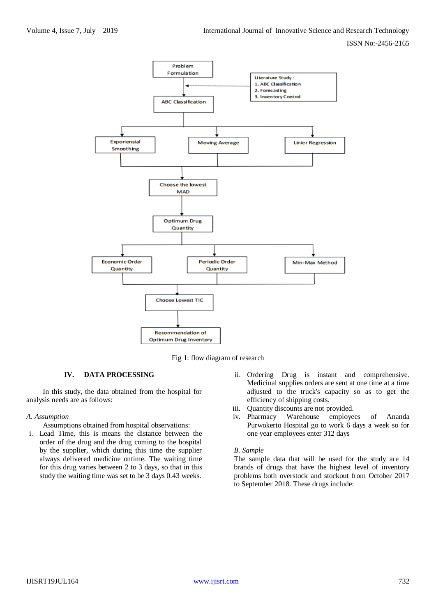

Fig 1: flow diagram of research

## **IV. DATA PROCESSING**

In this study, the data obtained from the hospital for analysis needs are as follows:

#### *A. Assumption*

Assumptions obtained from hospital observations:

- i. Lead Time, this is means the distance between the order of the drug and the drug coming to the hospital by the supplier, which during this time the supplier always delivered medicine ontime. The waiting time for this drug varies between 2 to 3 days, so that in this study the waiting time was set to be 3 days 0.43 weeks.
- ii. Ordering Drug is instant and comprehensive. Medicinal supplies orders are sent at one time at a time adjusted to the truck's capacity so as to get the efficiency of shipping costs.
- iii. Quantity discounts are not provided.
- iv. Pharmacy Warehouse employees of Ananda Purwokerto Hospital go to work 6 days a week so for one year employees enter 312 days

## *B. Sample*

The sample data that will be used for the study are 14 brands of drugs that have the highest level of inventory problems both overstock and stockout from October 2017 to September 2018. These drugs include: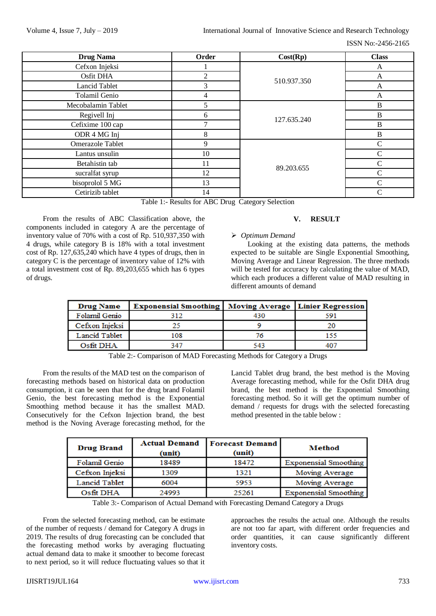ISSN No:-2456-2165

| <b>Drug Nama</b>        | Order          | Cost(Rp)    | <b>Class</b>  |
|-------------------------|----------------|-------------|---------------|
| Cefxon Injeksi          |                | 510.937.350 | A             |
| Osfit DHA               | $\overline{2}$ |             | A             |
| Lancid Tablet           | 3              |             | A             |
| Tolamil Genio           | 4              |             | A             |
| Mecobalamin Tablet      | 5              | 127.635.240 | $\bf{B}$      |
| Regivell Inj            | 6              |             | $\bf{B}$      |
| Cefixime 100 cap        |                |             | $\bf{B}$      |
| ODR 4 MG Inj            | 8              |             | B             |
| <b>Omerazole Tablet</b> | 9              | 89.203.655  | $\mathsf{C}$  |
| Lantus unsulin          | 10             |             | $\mathcal{C}$ |
| Betahistin tab          | 11             |             | $\mathcal{C}$ |
| sucralfat syrup         | 12             |             | C             |
| bisoprolol 5 MG         | 13             |             | C             |
| Cetirizib tablet        | 14             |             | C             |

Table 1:- Results for ABC Drug Category Selection

From the results of ABC Classification above, the components included in category A are the percentage of inventory value of 70% with a cost of Rp. 510,937,350 with 4 drugs, while category B is 18% with a total investment cost of Rp. 127,635,240 which have 4 types of drugs, then in category C is the percentage of inventory value of 12% with a total investment cost of Rp. 89,203,655 which has 6 types of drugs.

# **V. RESULT**

# *Optimum Demand*

Looking at the existing data patterns, the methods expected to be suitable are Single Exponential Smoothing, Moving Average and Linear Regression. The three methods will be tested for accuracy by calculating the value of MAD. which each produces a different value of MAD resulting in different amounts of demand

| <b>Drug Name</b> | <b>Exponensial Smoothing   Moving Average   Linier Regression  </b> |     |     |
|------------------|---------------------------------------------------------------------|-----|-----|
| Folamil Genio    | 312                                                                 | 430 | 591 |
| Cefxon Injeksi   |                                                                     |     |     |
| Lancid Tablet    | 108                                                                 |     |     |
| Osfit DHA        | 347                                                                 | 543 |     |

Table 2:- Comparison of MAD Forecasting Methods for Category a Drugs

From the results of the MAD test on the comparison of forecasting methods based on historical data on production consumption, it can be seen that for the drug brand Folamil Genio, the best forecasting method is the Exponential Smoothing method because it has the smallest MAD. Consecutively for the Cefxon Injection brand, the best method is the Noving Average forecasting method, for the

Lancid Tablet drug brand, the best method is the Moving Average forecasting method, while for the Osfit DHA drug brand, the best method is the Exponential Smoothing forecasting method. So it will get the optimum number of demand / requests for drugs with the selected forecasting method presented in the table below :

| <b>Drug Brand</b>    | <b>Actual Demand</b><br>(unit) | <b>Forecast Demand</b><br>(unit) | <b>Method</b>                |
|----------------------|--------------------------------|----------------------------------|------------------------------|
| Folamil Genio        | 18489                          | 18472                            | <b>Exponensial Smoothing</b> |
| Cefxon Injeksi       | 1309                           | 1321                             | Moving Average               |
| <b>Lancid Tablet</b> | 6004                           | 5953                             | Moving Average               |
| Osfit DHA            | 24993                          | 25261                            | <b>Exponensial Smoothing</b> |

Table 3:- Comparison of Actual Demand with Forecasting Demand Category a Drugs

From the selected forecasting method, can be estimate of the number of requests / demand for Category A drugs in 2019. The results of drug forecasting can be concluded that the forecasting method works by averaging fluctuating actual demand data to make it smoother to become forecast to next period, so it will reduce fluctuating values so that it approaches the results the actual one. Although the results are not too far apart, with different order frequencies and order quantities, it can cause significantly different inventory costs.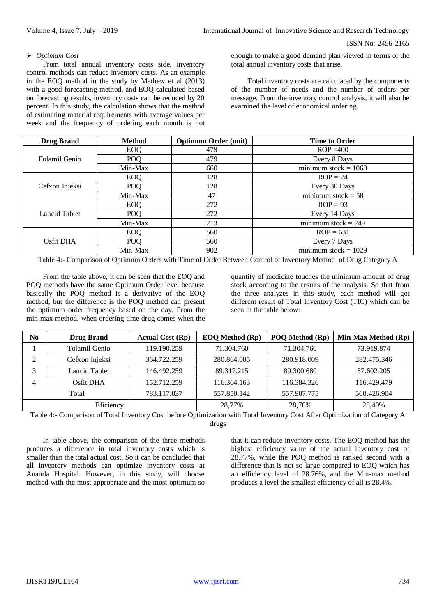## *Optimum Cost*

From total annual inventory costs side, inventory control methods can reduce inventory costs. As an example in the EOQ method in the study by Mathew et al (2013) with a good forecasting method, and EOQ calculated based on forecasting results, inventory costs can be reduced by 20 percent. In this study, the calculation shows that the method of estimating material requirements with average values per week and the frequency of ordering each month is not enough to make a good demand plan viewed in terms of the total annual inventory costs that arise.

Total inventory costs are calculated by the components of the number of needs and the number of orders per message. From the inventory control analysis, it will also be examined the level of economical ordering.

| <b>Drug Brand</b> | <b>Method</b> | <b>Optimum Order (unit)</b> | <b>Time to Order</b>                     |
|-------------------|---------------|-----------------------------|------------------------------------------|
|                   | <b>EOQ</b>    | 479                         | $ROP = 400$                              |
| Folamil Genio     | POQ           | 479                         | Every 8 Days                             |
|                   | Min-Max       | 660                         | minimum stock $= 1060$                   |
|                   | <b>EOQ</b>    | 128                         | $ROP = 24$                               |
| Cefxon Injeksi    | <b>POQ</b>    | 128                         | Every 30 Days                            |
|                   | Min-Max       | 47                          | $\overline{\text{minimum}}$ stock = 58   |
| Lancid Tablet     | <b>EOQ</b>    | 272                         | $ROP = 93$                               |
|                   | <b>POQ</b>    | 272                         | Every 14 Days                            |
|                   | Min-Max       | 213                         | $\overline{\text{minimum stock}} = 249$  |
| Osfit DHA         | <b>EOQ</b>    | 560                         | $ROP = 631$                              |
|                   | <b>POQ</b>    | 560                         | Every 7 Days                             |
|                   | Min-Max       | 902                         | $\overline{\text{minimum stock}} = 1029$ |

Table 4:- Comparison of Optimum Orders with Time of Order Between Control of Inventory Method of Drug Category A

From the table above, it can be seen that the EOQ and POQ methods have the same Optimum Order level because basically the POQ method is a derivative of the EOQ method, but the difference is the POQ method can present the optimum order frequency based on the day. From the min-max method, when ordering time drug comes when the quantity of medicine touches the minimum amount of drug stock according to the results of the analysis. So that from the three analyzes in this study, each method will got different result of Total Inventory Cost (TIC) which can be seen in the table below:

| N0 | <b>Drug Brand</b> | <b>Actual Cost (Rp)</b> | <b>EOQ Method (Rp)</b> | POQ Method (Rp) | Min-Max Method (Rp) |
|----|-------------------|-------------------------|------------------------|-----------------|---------------------|
|    | Tolamil Genio     | 119.190.259             | 71.304.760             | 71.304.760      | 73.919.874          |
| ◠  | Cefxon Injeksi    | 364.722.259             | 280.864.005            | 280.918.009     | 282.475.346         |
| っ  | Lancid Tablet     | 146.492.259             | 89.317.215             | 89.300.680      | 87.602.205          |
| 4  | Osfit DHA         | 152.712.259             | 116.364.163            | 116.384.326     | 116.429.479         |
|    | Total             | 783.117.037             | 557.850.142            | 557.907.775     | 560.426.904         |
|    | Eficiency         |                         | 28.77%                 | 28.76%          | 28,40%              |

Table 4:- Comparison of Total Inventory Cost before Optimization with Total Inventory Cost After Optimization of Category A drugs

In table above, the comparison of the three methods produces a difference in total inventory costs which is smaller than the total actual cost. So it can be concluded that all inventory methods can optimize inventory costs at Ananda Hospital. However, in this study, will choose method with the most appropriate and the most optimum so that it can reduce inventory costs. The EOQ method has the highest efficiency value of the actual inventory cost of 28.77%, while the POQ method is ranked second with a difference that is not so large compared to EOQ which has an efficiency level of 28.76%, and the Min-max method produces a level the smallest efficiency of all is 28.4%.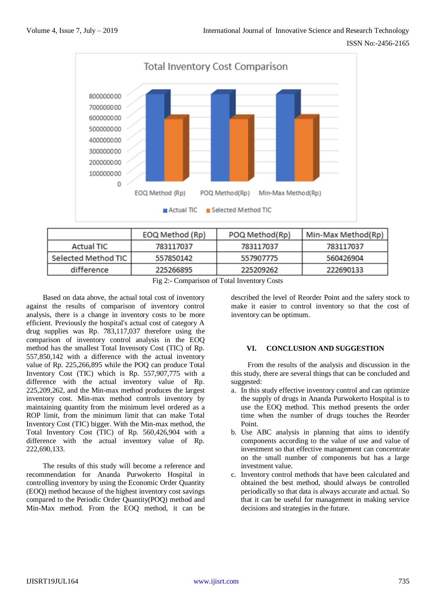

| EOQ Method (Rp)                    | POQ Method(Rp) | Min-Max Method(Rp) |
|------------------------------------|----------------|--------------------|
| 783117037                          | 783117037      | 783117037          |
| Selected Method TIC  <br>557850142 | 557907775      | 560426904          |
| 225266895                          | 225209262      | 222690133          |
|                                    |                |                    |

Fig 2:- Comparison of Total Inventory Costs

Based on data above, the actual total cost of inventory against the results of comparison of inventory control analysis, there is a change in inventory costs to be more efficient. Previously the hospital's actual cost of category A drug supplies was Rp. 783,117,037 therefore using the comparison of inventory control analysis in the EOQ method has the smallest Total Invensoty Cost (TIC) of Rp. 557,850,142 with a difference with the actual inventory value of Rp. 225,266,895 while the POQ can produce Total Inventory Cost (TIC) which is Rp. 557,907,775 with a difference with the actual inventory value of Rp. 225,209,262, and the Min-max method produces the largest inventory cost. Min-max method controls inventory by maintaining quantity from the minimum level ordered as a ROP limit, from the minimum limit that can make Total Inventory Cost (TIC) bigger. With the Min-max method, the Total Inventory Cost (TIC) of Rp. 560,426,904 with a difference with the actual inventory value of Rp. 222,690,133.

The results of this study will become a reference and recommendation for Ananda Purwokerto Hospital in controlling inventory by using the Economic Order Quantity (EOQ) method because of the highest inventory cost savings compared to the Periodic Order Quantity(POQ) method and Min-Max method. From the EOQ method, it can be

described the level of Reorder Point and the safety stock to make it easier to control inventory so that the cost of inventory can be optimum.

## **VI. CONCLUSION AND SUGGESTION**

From the results of the analysis and discussion in the this study, there are several things that can be concluded and suggested:

- a. In this study effective inventory control and can optimize the supply of drugs in Ananda Purwokerto Hospital is to use the EOQ method. This method presents the order time when the number of drugs touches the Reorder Point.
- b. Use ABC analysis in planning that aims to identify components according to the value of use and value of investment so that effective management can concentrate on the small number of components but has a large investment value.
- c. Inventory control methods that have been calculated and obtained the best method, should always be controlled periodically so that data is always accurate and actual. So that it can be useful for management in making service decisions and strategies in the future.